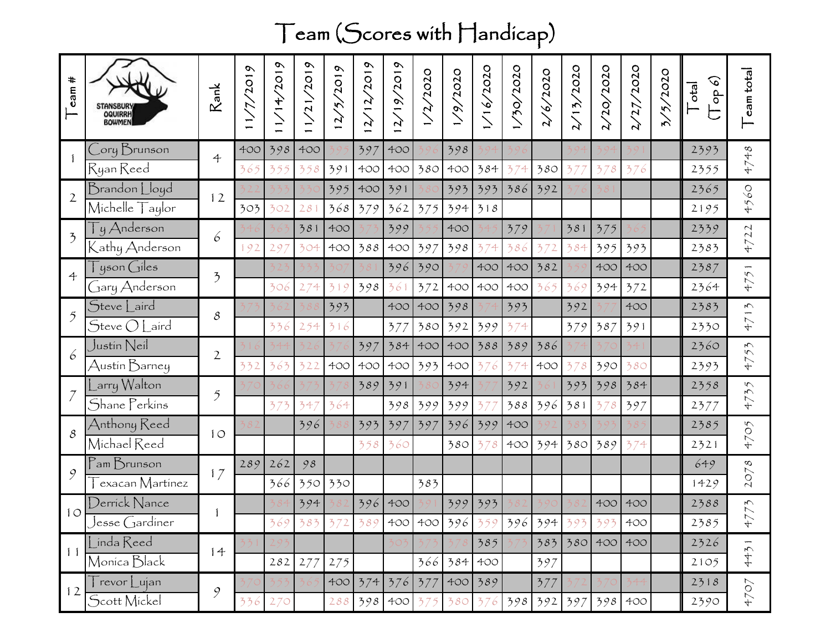## Team (Scores with Handicap)

| t mes                               | STANSBURY<br>OQUIRRH<br><b>BOWMEN</b>                   | Rank                  | 1/7/2019 | 1/14/2019 | 1/21/2019       | $\omega$<br>5/201<br>$\mathbf{v}$ | 12/2019<br>$\mathcal{A}$ | 72019<br>$\frac{61}{2}$<br>$\mathcal{L}$ | /2/2020 | 79/2020 | 1/16/2020 | 0707/07/1 | 16/2020<br>$\mathbf{r}$     | 2/13/2020 | 2/20/2020   | 2/27/2020 | 3/5/2020 | $\mathcal{O}$<br>$ e^{i\phi}$<br>op | eam total                                |
|-------------------------------------|---------------------------------------------------------|-----------------------|----------|-----------|-----------------|-----------------------------------|--------------------------|------------------------------------------|---------|---------|-----------|-----------|-----------------------------|-----------|-------------|-----------|----------|-------------------------------------|------------------------------------------|
|                                     | Cory Brunson                                            | $\ddot{\mathcal{L}}$  | 400      | 398       | 400             |                                   | 397                      | 400                                      |         | 398     |           |           |                             |           |             |           |          | 2393                                | 4748                                     |
|                                     | Ryan Reed                                               |                       | 365      | 355       | 358             | 391                               | 400                      | 400                                      | 380     | 400     | 384       | 374       | 380                         | 37        | 378         | 376       |          | 2355                                |                                          |
| $\mathfrak{2}$                      | Brandon Lloyd                                           | 12                    |          |           |                 | 395                               | 400                      | 391                                      |         | 393     | 393       | 386       | 392                         |           |             |           |          | 2365                                | $\mathcal{O}9$                           |
|                                     | $\overline{\text{Michelle}}$ $\overline{\text{Taylor}}$ |                       | 303      | 302       | 28 <sup>1</sup> | 368                               | 379                      | 362                                      | 375     | 394     | 318       |           |                             |           |             |           |          | 2195                                | 45                                       |
| $\overline{2}$                      | Ty Anderson                                             | 6                     |          |           | 381             | 400                               |                          | 399                                      |         | 400     |           | 379       |                             | 381       | 375         |           |          | 2339                                | $\sim$<br>$\overline{\mathcal{N}}$<br>47 |
|                                     | Kathy Anderson                                          |                       | 192      | 29        | 304             | 400                               | 388                      | 400                                      | 397     | 398     | 374       | 386       | 372                         | 384       | 395         | 393       |          | 2383                                |                                          |
| $\ddot{\mathcal{L}}$<br>$\tilde{2}$ | $\tilde{a}$ yson Giles                                  | $\mathfrak{Z}$        |          |           |                 |                                   |                          | 396                                      | 390     |         | 400       | 400       | 382                         |           | 400         | 400       |          | 2387                                | 51<br>47                                 |
|                                     | Gary Anderson                                           |                       |          | 306       | 274             | 319                               | 398                      | 361                                      | 372     | 400     | 400       | 400       | 365                         | 369       | 394         | 372       |          | 2364                                |                                          |
|                                     | Steve Laird                                             | 8                     |          |           |                 | 393                               |                          | 400                                      | 400     | 398     |           | 393       |                             | 392       |             | 400       |          | 2383                                | $\zeta$ j                                |
|                                     | $\mathcal S$ teve $\bigcirc$ Laird                      |                       |          | 336       | 254             | 316                               |                          | 377                                      | 380     | 392     | 399       | 374       |                             | 379       | 387         | 391       |          | 2330                                | 47                                       |
| 6                                   | Justin Neil                                             | $\overline{2}$        |          |           |                 |                                   | 397                      | 384                                      | 400     | 400     | 388       | 389       | 386                         |           |             |           |          | 2360                                | 55                                       |
|                                     | Austin Barney                                           |                       | 332      | 363       | 322             | 400                               | 400                      | 400                                      | 393     | 400     | 376       | 374       | 400                         | 378       | 390         | 380       |          | 2393                                | 47                                       |
|                                     | Larry Walton                                            | $\tilde{\mathcal{I}}$ |          |           |                 |                                   | 389                      | 391                                      |         | 394     |           | 392       |                             | 393       | 398         | 384       |          | 2358                                | 4735                                     |
|                                     | Shane Perkins                                           |                       |          | 373       | 347             | 364                               |                          | 398                                      | 399     | 399     | 37        | 388       | 396                         | 381       | 378         | 397       |          | 2377                                |                                          |
| 8                                   | Anthony Reed                                            | 10                    |          |           | 396             |                                   | 393                      | 397                                      | 397     | 396     | 399       | 400       |                             |           |             |           |          | 2385                                | 4705                                     |
|                                     | Michael Reed                                            |                       |          |           |                 |                                   | 358                      | 360                                      |         | 380     | 378       | 400       | 394                         | 380       | 389         | 374       |          | 2321                                |                                          |
| 9                                   | $P$ am $B$ runson                                       | 17                    | 289      | 262       | 98              |                                   |                          |                                          |         |         |           |           |                             |           |             |           |          | 649                                 | 2078                                     |
|                                     | exacan Martínez                                         |                       |          | 366       | 350             | 330                               |                          |                                          | 383     |         |           |           |                             |           |             |           |          | 1429                                |                                          |
| 10<br>11                            | Derrick Nance                                           |                       |          |           | 394             |                                   | 396                      | 400                                      |         | 399     | 393       |           |                             |           | 400         | 400       |          | 2388                                | $\zeta\angle$                            |
|                                     | Jesse Gardíner                                          |                       |          | 360       | 383             | $372$                             |                          |                                          |         |         |           |           | 389 400 400 396 359 396 394 | 303       | 303         | 400       |          | 2385                                | $+7$                                     |
|                                     | Línda Reed                                              | 14                    |          |           |                 |                                   |                          |                                          |         |         | 385       |           |                             |           | 383 380 400 | 400       |          | 2326                                | 4431                                     |
|                                     | Monica Black                                            |                       |          |           | 282 277         | 275                               |                          |                                          | 366     | 384     | 400       |           | 397                         |           |             |           |          | 2105                                |                                          |
| 12                                  | $\overline{\Gamma}$ revor $\overline{\Gamma}$ ujan      | 9                     |          |           |                 |                                   | 400 374 376              |                                          | 377     |         | $400$ 389 |           | 377                         |           |             |           |          | 2318                                | 4707                                     |
|                                     | Scott Mickel                                            |                       | 336      | 270       |                 | 288                               |                          | 398 400                                  | 375     | 380     |           |           | $376$ 398 392 397           |           | 398         | 400       |          | 2390                                |                                          |